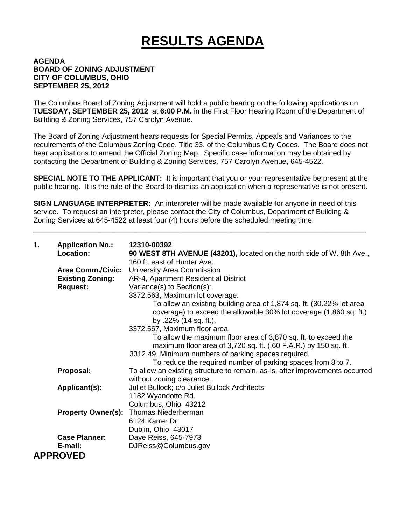## **RESULTS AGENDA**

## **AGENDA BOARD OF ZONING ADJUSTMENT CITY OF COLUMBUS, OHIO SEPTEMBER 25, 2012**

The Columbus Board of Zoning Adjustment will hold a public hearing on the following applications on **TUESDAY, SEPTEMBER 25, 2012** at **6:00 P.M.** in the First Floor Hearing Room of the Department of Building & Zoning Services, 757 Carolyn Avenue.

The Board of Zoning Adjustment hears requests for Special Permits, Appeals and Variances to the requirements of the Columbus Zoning Code, Title 33, of the Columbus City Codes. The Board does not hear applications to amend the Official Zoning Map. Specific case information may be obtained by contacting the Department of Building & Zoning Services, 757 Carolyn Avenue, 645-4522.

**SPECIAL NOTE TO THE APPLICANT:** It is important that you or your representative be present at the public hearing. It is the rule of the Board to dismiss an application when a representative is not present.

**SIGN LANGUAGE INTERPRETER:** An interpreter will be made available for anyone in need of this service. To request an interpreter, please contact the City of Columbus, Department of Building & Zoning Services at 645-4522 at least four (4) hours before the scheduled meeting time.

\_\_\_\_\_\_\_\_\_\_\_\_\_\_\_\_\_\_\_\_\_\_\_\_\_\_\_\_\_\_\_\_\_\_\_\_\_\_\_\_\_\_\_\_\_\_\_\_\_\_\_\_\_\_\_\_\_\_\_\_\_\_\_\_\_\_\_\_\_\_\_\_\_\_\_\_\_\_\_\_\_\_

| 1. | <b>Application No.:</b><br>Location: | 12310-00392<br>90 WEST 8TH AVENUE (43201), located on the north side of W. 8th Ave.,<br>160 ft. east of Hunter Ave.                                                 |
|----|--------------------------------------|---------------------------------------------------------------------------------------------------------------------------------------------------------------------|
|    | <b>Area Comm./Civic:</b>             | University Area Commission                                                                                                                                          |
|    | <b>Existing Zoning:</b>              | AR-4, Apartment Residential District                                                                                                                                |
|    | <b>Request:</b>                      | Variance(s) to Section(s):                                                                                                                                          |
|    |                                      | 3372.563, Maximum lot coverage.                                                                                                                                     |
|    |                                      | To allow an existing building area of 1,874 sq. ft. (30.22% lot area<br>coverage) to exceed the allowable 30% lot coverage (1,860 sq. ft.)<br>by .22% (14 sq. ft.). |
|    |                                      | 3372.567, Maximum floor area.                                                                                                                                       |
|    |                                      | To allow the maximum floor area of 3,870 sq. ft. to exceed the<br>maximum floor area of 3,720 sq. ft. (.60 F.A.R.) by 150 sq. ft.                                   |
|    |                                      | 3312.49, Minimum numbers of parking spaces required.                                                                                                                |
|    |                                      | To reduce the required number of parking spaces from 8 to 7.                                                                                                        |
|    | Proposal:                            | To allow an existing structure to remain, as-is, after improvements occurred                                                                                        |
|    |                                      | without zoning clearance.                                                                                                                                           |
|    | Applicant(s):                        | Juliet Bullock; c/o Juliet Bullock Architects                                                                                                                       |
|    |                                      | 1182 Wyandotte Rd.                                                                                                                                                  |
|    |                                      | Columbus, Ohio 43212                                                                                                                                                |
|    | <b>Property Owner(s):</b>            | <b>Thomas Niederherman</b>                                                                                                                                          |
|    |                                      | 6124 Karrer Dr.                                                                                                                                                     |
|    |                                      | Dublin, Ohio 43017                                                                                                                                                  |
|    | <b>Case Planner:</b>                 | Dave Reiss, 645-7973                                                                                                                                                |
|    | E-mail:                              | DJReiss@Columbus.gov                                                                                                                                                |
|    | <b>APPROVED</b>                      |                                                                                                                                                                     |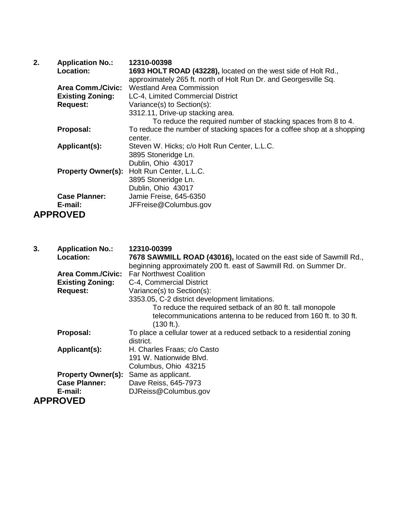| 2. | <b>Application No.:</b>   | 12310-00398                                                             |
|----|---------------------------|-------------------------------------------------------------------------|
|    | Location:                 | 1693 HOLT ROAD (43228), located on the west side of Holt Rd.,           |
|    |                           | approximately 265 ft. north of Holt Run Dr. and Georgesville Sq.        |
|    | <b>Area Comm./Civic:</b>  | <b>Westland Area Commission</b>                                         |
|    | <b>Existing Zoning:</b>   | LC-4, Limited Commercial District                                       |
|    | <b>Request:</b>           | Variance(s) to Section(s):                                              |
|    |                           | 3312.11, Drive-up stacking area.                                        |
|    |                           | To reduce the required number of stacking spaces from 8 to 4.           |
|    | Proposal:                 | To reduce the number of stacking spaces for a coffee shop at a shopping |
|    |                           | center.                                                                 |
|    | Applicant(s):             | Steven W. Hicks; c/o Holt Run Center, L.L.C.                            |
|    |                           | 3895 Stoneridge Ln.                                                     |
|    |                           | Dublin, Ohio 43017                                                      |
|    | <b>Property Owner(s):</b> | Holt Run Center, L.L.C.                                                 |
|    |                           | 3895 Stoneridge Ln.                                                     |
|    |                           | Dublin, Ohio 43017                                                      |
|    | <b>Case Planner:</b>      | Jamie Freise, 645-6350                                                  |
|    | E-mail:                   | JFFreise@Columbus.gov                                                   |
|    | <b>APPROVED</b>           |                                                                         |

| 3. | <b>Application No.:</b>   | 12310-00399                                                                              |
|----|---------------------------|------------------------------------------------------------------------------------------|
|    | <b>Location:</b>          | 7678 SAWMILL ROAD (43016), located on the east side of Sawmill Rd.,                      |
|    |                           | beginning approximately 200 ft. east of Sawmill Rd. on Summer Dr.                        |
|    | Area Comm./Civic:         | <b>Far Northwest Coalition</b>                                                           |
|    | <b>Existing Zoning:</b>   | C-4, Commercial District                                                                 |
|    | <b>Request:</b>           | Variance(s) to Section(s):                                                               |
|    |                           | 3353.05, C-2 district development limitations.                                           |
|    |                           | To reduce the required setback of an 80 ft. tall monopole                                |
|    |                           | telecommunications antenna to be reduced from 160 ft, to 30 ft.<br>$(130 \text{ ft.})$ . |
|    | Proposal:                 | To place a cellular tower at a reduced setback to a residential zoning                   |
|    |                           | district.                                                                                |
|    | Applicant(s):             | H. Charles Fraas; c/o Casto                                                              |
|    |                           | 191 W. Nationwide Blvd.                                                                  |
|    |                           | Columbus, Ohio 43215                                                                     |
|    | <b>Property Owner(s):</b> | Same as applicant.                                                                       |
|    | <b>Case Planner:</b>      | Dave Reiss, 645-7973                                                                     |
|    | E-mail:                   | DJReiss@Columbus.gov                                                                     |
|    | <b>APPROVED</b>           |                                                                                          |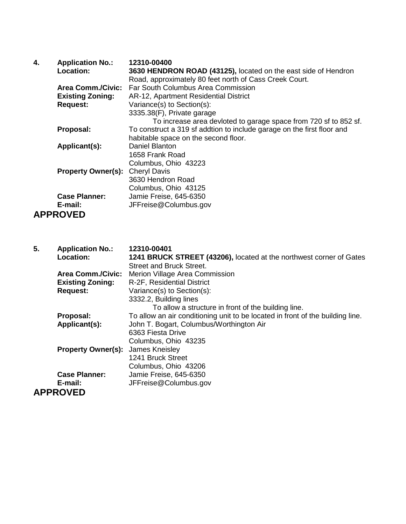| 4. | <b>Application No.:</b>   | 12310-00400                                                            |
|----|---------------------------|------------------------------------------------------------------------|
|    | <b>Location:</b>          | 3630 HENDRON ROAD (43125), located on the east side of Hendron         |
|    |                           | Road, approximately 80 feet north of Cass Creek Court.                 |
|    | <b>Area Comm./Civic:</b>  | Far South Columbus Area Commission                                     |
|    | <b>Existing Zoning:</b>   | AR-12, Apartment Residential District                                  |
|    | <b>Request:</b>           | Variance(s) to Section(s):                                             |
|    |                           | 3335.38(F), Private garage                                             |
|    |                           | To increase area devloted to garage space from 720 sf to 852 sf.       |
|    | Proposal:                 | To construct a 319 sf addtion to include garage on the first floor and |
|    |                           | habitable space on the second floor.                                   |
|    | Applicant(s):             | Daniel Blanton                                                         |
|    |                           | 1658 Frank Road                                                        |
|    |                           | Columbus, Ohio 43223                                                   |
|    | <b>Property Owner(s):</b> | <b>Cheryl Davis</b>                                                    |
|    |                           | 3630 Hendron Road                                                      |
|    |                           | Columbus, Ohio 43125                                                   |
|    | <b>Case Planner:</b>      | Jamie Freise, 645-6350                                                 |
|    | E-mail:                   | JFFreise@Columbus.gov                                                  |
|    | <b>APPROVED</b>           |                                                                        |

| 5. | <b>Application No.:</b>   | 12310-00401                                                                    |
|----|---------------------------|--------------------------------------------------------------------------------|
|    | <b>Location:</b>          | 1241 BRUCK STREET (43206), located at the northwest corner of Gates            |
|    |                           | <b>Street and Bruck Street.</b>                                                |
|    | <b>Area Comm./Civic:</b>  | Merion Village Area Commission                                                 |
|    | <b>Existing Zoning:</b>   | R-2F, Residential District                                                     |
|    | <b>Request:</b>           | Variance(s) to Section(s):                                                     |
|    |                           | 3332.2, Building lines                                                         |
|    |                           | To allow a structure in front of the building line.                            |
|    | Proposal:                 | To allow an air conditioning unit to be located in front of the building line. |
|    | Applicant(s):             | John T. Bogart, Columbus/Worthington Air                                       |
|    |                           | 6363 Fiesta Drive                                                              |
|    |                           | Columbus, Ohio 43235                                                           |
|    | <b>Property Owner(s):</b> | James Kneisley                                                                 |
|    |                           | 1241 Bruck Street                                                              |
|    |                           | Columbus, Ohio 43206                                                           |
|    | <b>Case Planner:</b>      | Jamie Freise, 645-6350                                                         |
|    | E-mail:                   | JFFreise@Columbus.gov                                                          |
|    | <b>APPROVED</b>           |                                                                                |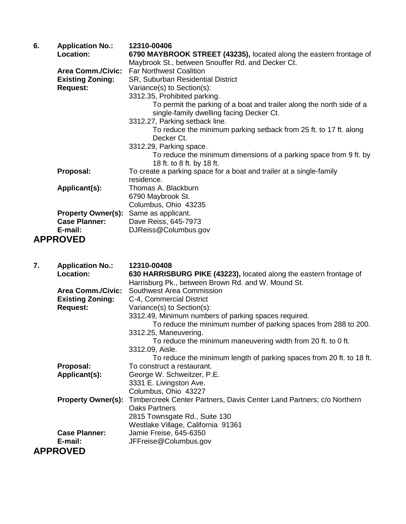| 6. | <b>Application No.:</b><br>Location: | 12310-00406<br>6790 MAYBROOK STREET (43235), located along the eastern frontage of                                |
|----|--------------------------------------|-------------------------------------------------------------------------------------------------------------------|
|    |                                      | Maybrook St., between Snouffer Rd. and Decker Ct.                                                                 |
|    | <b>Area Comm./Civic:</b>             | <b>Far Northwest Coalition</b>                                                                                    |
|    | <b>Existing Zoning:</b>              | SR, Suburban Residential District                                                                                 |
|    | <b>Request:</b>                      | Variance(s) to Section(s):                                                                                        |
|    |                                      | 3312.35, Prohibited parking.                                                                                      |
|    |                                      | To permit the parking of a boat and trailer along the north side of a<br>single-family dwelling facing Decker Ct. |
|    |                                      | 3312.27, Parking setback line.                                                                                    |
|    |                                      | To reduce the minimum parking setback from 25 ft. to 17 ft. along<br>Decker Ct.                                   |
|    |                                      | 3312.29, Parking space.                                                                                           |
|    |                                      | To reduce the minimum dimensions of a parking space from 9 ft. by<br>18 ft. to 8 ft. by 18 ft.                    |
|    | Proposal:                            | To create a parking space for a boat and trailer at a single-family<br>residence.                                 |
|    | Applicant(s):                        | Thomas A. Blackburn                                                                                               |
|    |                                      | 6790 Maybrook St.                                                                                                 |
|    |                                      | Columbus, Ohio 43235                                                                                              |
|    | <b>Property Owner(s):</b>            | Same as applicant.                                                                                                |
|    | <b>Case Planner:</b>                 | Dave Reiss, 645-7973                                                                                              |
|    | E-mail:                              | DJReiss@Columbus.gov                                                                                              |
|    | <b>APPROVED</b>                      |                                                                                                                   |

| 7. | <b>Application No.:</b>  | 12310-00408                                                                                     |
|----|--------------------------|-------------------------------------------------------------------------------------------------|
|    | Location:                | 630 HARRISBURG PIKE (43223), located along the eastern frontage of                              |
|    |                          | Harrisburg Pk., between Brown Rd. and W. Mound St.                                              |
|    | <b>Area Comm./Civic:</b> | Southwest Area Commission                                                                       |
|    | <b>Existing Zoning:</b>  | C-4, Commercial District                                                                        |
|    | <b>Request:</b>          | Variance(s) to Section(s):                                                                      |
|    |                          | 3312.49, Minimum numbers of parking spaces required.                                            |
|    |                          | To reduce the minimum number of parking spaces from 288 to 200.                                 |
|    |                          | 3312.25, Maneuvering.                                                                           |
|    |                          | To reduce the minimum maneuvering width from 20 ft. to 0 ft.                                    |
|    |                          | 3312.09, Aisle.                                                                                 |
|    |                          | To reduce the minimum length of parking spaces from 20 ft. to 18 ft.                            |
|    | Proposal:                | To construct a restaurant.                                                                      |
|    | Applicant(s):            | George W. Schweitzer, P.E.                                                                      |
|    |                          | 3331 E. Livingston Ave.                                                                         |
|    |                          | Columbus, Ohio 43227                                                                            |
|    |                          | <b>Property Owner(s):</b> Timbercreek Center Partners, Davis Center Land Partners; c/o Northern |
|    |                          | <b>Oaks Partners</b>                                                                            |
|    |                          | 2815 Townsgate Rd., Suite 130                                                                   |
|    |                          | Westlake Village, California 91361                                                              |
|    | <b>Case Planner:</b>     | Jamie Freise, 645-6350                                                                          |
|    | E-mail:                  | JFFreise@Columbus.gov                                                                           |
|    | <b>APPROVED</b>          |                                                                                                 |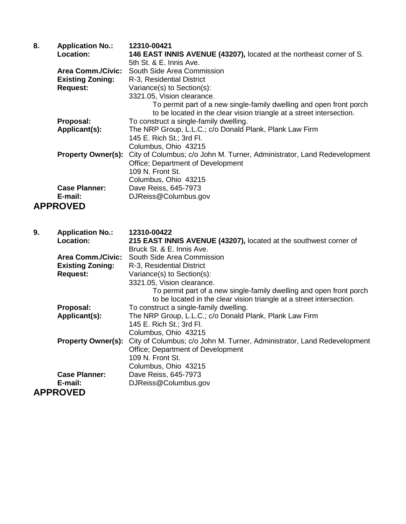| 8. | <b>Application No.:</b><br>Location:                                   | 12310-00421<br>146 EAST INNIS AVENUE (43207), located at the northeast corner of S.<br>5th St. & E. Innis Ave.                                                                                                                |
|----|------------------------------------------------------------------------|-------------------------------------------------------------------------------------------------------------------------------------------------------------------------------------------------------------------------------|
|    | <b>Area Comm./Civic:</b><br><b>Existing Zoning:</b><br><b>Request:</b> | South Side Area Commission<br>R-3, Residential District<br>Variance(s) to Section(s):<br>3321.05, Vision clearance.<br>To permit part of a new single-family dwelling and open front porch                                    |
|    | Proposal:<br>Applicant(s):                                             | to be located in the clear vision triangle at a street intersection.<br>To construct a single-family dwelling.<br>The NRP Group, L.L.C.; c/o Donald Plank, Plank Law Firm<br>145 E. Rich St.; 3rd Fl.<br>Columbus, Ohio 43215 |
|    | <b>Property Owner(s):</b>                                              | City of Columbus; c/o John M. Turner, Administrator, Land Redevelopment<br>Office; Department of Development<br>109 N. Front St.<br>Columbus, Ohio 43215                                                                      |
|    | <b>Case Planner:</b><br>E-mail:                                        | Dave Reiss, 645-7973<br>DJReiss@Columbus.gov                                                                                                                                                                                  |
|    | <b>APPROVED</b>                                                        |                                                                                                                                                                                                                               |
|    |                                                                        |                                                                                                                                                                                                                               |
| 9. | <b>Application No.:</b><br>Location:                                   | 12310-00422<br>215 EAST INNIS AVENUE (43207), located at the southwest corner of                                                                                                                                              |
|    | <b>Area Comm./Civic:</b><br><b>Existing Zoning:</b><br><b>Request:</b> | Bruck St. & E. Innis Ave.<br>South Side Area Commission<br>R-3, Residential District<br>Variance(s) to Section(s):                                                                                                            |
|    |                                                                        | 3321.05, Vision clearance.<br>To permit part of a new single-family dwelling and open front porch                                                                                                                             |
|    | Proposal:<br>Applicant(s):                                             | to be located in the clear vision triangle at a street intersection.<br>To construct a single-family dwelling.<br>The NRP Group, L.L.C.; c/o Donald Plank, Plank Law Firm<br>145 E. Rich St.; 3rd Fl.<br>Columbus, Ohio 43215 |
|    | <b>Property Owner(s):</b>                                              | City of Columbus; c/o John M. Turner, Administrator, Land Redevelopment<br>Office; Department of Development<br>109 N. Front St.                                                                                              |
|    | <b>Case Planner:</b><br>E-mail:                                        | Columbus, Ohio 43215<br>Dave Reiss, 645-7973<br>DJReiss@Columbus.gov                                                                                                                                                          |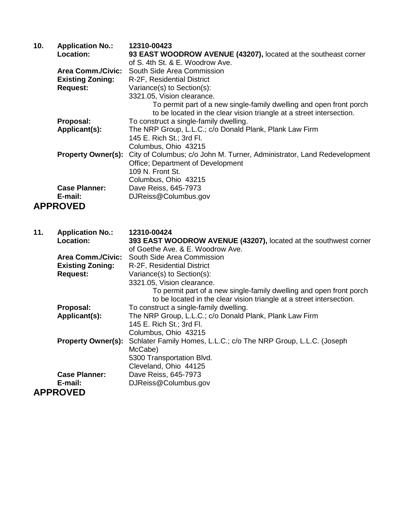| 10. | <b>Application No.:</b><br>Location: | 12310-00423<br>93 EAST WOODROW AVENUE (43207), located at the southeast corner<br>of S. 4th St. & E. Woodrow Ave. |
|-----|--------------------------------------|-------------------------------------------------------------------------------------------------------------------|
|     | <b>Area Comm./Civic:</b>             | South Side Area Commission                                                                                        |
|     | <b>Existing Zoning:</b>              | R-2F, Residential District                                                                                        |
|     | <b>Request:</b>                      | Variance(s) to Section(s):<br>3321.05, Vision clearance.                                                          |
|     |                                      | To permit part of a new single-family dwelling and open front porch                                               |
|     |                                      | to be located in the clear vision triangle at a street intersection.                                              |
|     | Proposal:<br>Applicant(s):           | To construct a single-family dwelling.                                                                            |
|     |                                      | The NRP Group, L.L.C.; c/o Donald Plank, Plank Law Firm<br>145 E. Rich St.; 3rd Fl.                               |
|     |                                      | Columbus, Ohio 43215                                                                                              |
|     | <b>Property Owner(s):</b>            | City of Columbus; c/o John M. Turner, Administrator, Land Redevelopment                                           |
|     |                                      | Office; Department of Development                                                                                 |
|     |                                      | 109 N. Front St.                                                                                                  |
|     | <b>Case Planner:</b>                 | Columbus, Ohio 43215<br>Dave Reiss, 645-7973                                                                      |
|     | E-mail:                              | DJReiss@Columbus.gov                                                                                              |
|     | <b>APPROVED</b>                      |                                                                                                                   |
|     |                                      |                                                                                                                   |
|     |                                      |                                                                                                                   |
|     |                                      |                                                                                                                   |
| 11. | <b>Application No.:</b>              | 12310-00424                                                                                                       |
|     | Location:                            | 393 EAST WOODROW AVENUE (43207), located at the southwest corner<br>of Goethe Ave. & E. Woodrow Ave.              |
|     | <b>Area Comm./Civic:</b>             | South Side Area Commission                                                                                        |
|     | <b>Existing Zoning:</b>              | R-2F, Residential District                                                                                        |
|     | <b>Request:</b>                      | Variance(s) to Section(s):                                                                                        |
|     |                                      | 3321.05, Vision clearance.                                                                                        |
|     |                                      | To permit part of a new single-family dwelling and open front porch                                               |
|     | Proposal:                            | to be located in the clear vision triangle at a street intersection.<br>To construct a single-family dwelling.    |
|     | Applicant(s):                        | The NRP Group, L.L.C.; c/o Donald Plank, Plank Law Firm                                                           |
|     |                                      | 145 E. Rich St.; 3rd Fl.                                                                                          |
|     |                                      | Columbus, Ohio 43215                                                                                              |
|     | <b>Property Owner(s):</b>            | Schlater Family Homes, L.L.C.; c/o The NRP Group, L.L.C. (Joseph                                                  |
|     |                                      | McCabe)                                                                                                           |
|     |                                      | 5300 Transportation Blvd.<br>Cleveland, Ohio 44125                                                                |
|     | <b>Case Planner:</b>                 | Dave Reiss, 645-7973                                                                                              |
|     | E-mail:<br><b>APPROVED</b>           | DJReiss@Columbus.gov                                                                                              |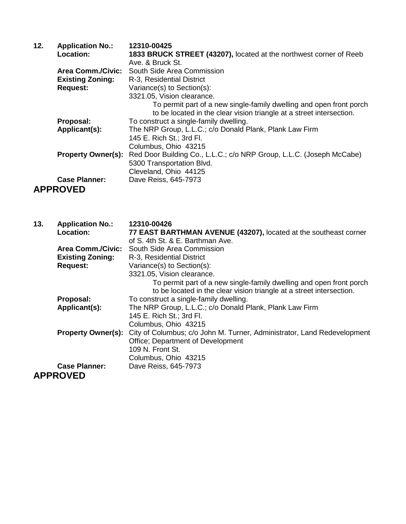| 12. | <b>Application No.:</b>   | 12310-00425                                                                                                                                 |
|-----|---------------------------|---------------------------------------------------------------------------------------------------------------------------------------------|
|     | Location:                 | 1833 BRUCK STREET (43207), located at the northwest corner of Reeb                                                                          |
|     |                           | Ave. & Bruck St.                                                                                                                            |
|     | <b>Area Comm./Civic:</b>  | South Side Area Commission                                                                                                                  |
|     | <b>Existing Zoning:</b>   | R-3, Residential District                                                                                                                   |
|     | <b>Request:</b>           | Variance(s) to Section(s):                                                                                                                  |
|     |                           | 3321.05, Vision clearance.                                                                                                                  |
|     |                           | To permit part of a new single-family dwelling and open front porch<br>to be located in the clear vision triangle at a street intersection. |
|     | Proposal:                 | To construct a single-family dwelling.                                                                                                      |
|     | Applicant(s):             | The NRP Group, L.L.C.; c/o Donald Plank, Plank Law Firm                                                                                     |
|     |                           | 145 E. Rich St.; 3rd Fl.                                                                                                                    |
|     |                           | Columbus, Ohio 43215                                                                                                                        |
|     | <b>Property Owner(s):</b> | Red Door Building Co., L.L.C.; c/o NRP Group, L.L.C. (Joseph McCabe)                                                                        |
|     |                           | 5300 Transportation Blvd.                                                                                                                   |
|     |                           | Cleveland, Ohio 44125                                                                                                                       |
|     | <b>Case Planner:</b>      | Dave Reiss, 645-7973                                                                                                                        |
|     | <b>APPROVED</b>           |                                                                                                                                             |

| 13. | <b>Application No.:</b><br>Location: | 12310-00426<br>77 EAST BARTHMAN AVENUE (43207), located at the southeast corner                                                             |
|-----|--------------------------------------|---------------------------------------------------------------------------------------------------------------------------------------------|
|     |                                      | of S. 4th St. & E. Barthman Ave.                                                                                                            |
|     | <b>Area Comm./Civic:</b>             | South Side Area Commission                                                                                                                  |
|     | <b>Existing Zoning:</b>              | R-3, Residential District                                                                                                                   |
|     | <b>Request:</b>                      | Variance(s) to Section(s):                                                                                                                  |
|     |                                      | 3321.05, Vision clearance.                                                                                                                  |
|     |                                      | To permit part of a new single-family dwelling and open front porch<br>to be located in the clear vision triangle at a street intersection. |
|     | Proposal:                            | To construct a single-family dwelling.                                                                                                      |
|     | Applicant(s):                        | The NRP Group, L.L.C.; c/o Donald Plank, Plank Law Firm                                                                                     |
|     |                                      | 145 E. Rich St.; 3rd Fl.                                                                                                                    |
|     |                                      | Columbus, Ohio 43215                                                                                                                        |
|     | <b>Property Owner(s):</b>            | City of Columbus; c/o John M. Turner, Administrator, Land Redevelopment                                                                     |
|     |                                      | <b>Office: Department of Development</b>                                                                                                    |
|     |                                      | 109 N. Front St.                                                                                                                            |
|     |                                      | Columbus, Ohio 43215                                                                                                                        |
|     | <b>Case Planner:</b>                 | Dave Reiss, 645-7973                                                                                                                        |
|     | <b>APPROVED</b>                      |                                                                                                                                             |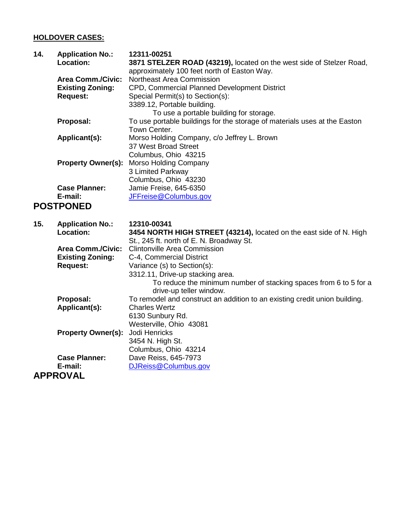## **HOLDOVER CASES:**

| 14. | <b>Application No.:</b><br>Location:                                   | 12311-00251<br>3871 STELZER ROAD (43219), located on the west side of Stelzer Road,<br>approximately 100 feet north of Easton Way.                                                      |
|-----|------------------------------------------------------------------------|-----------------------------------------------------------------------------------------------------------------------------------------------------------------------------------------|
|     | <b>Area Comm./Civic:</b><br><b>Existing Zoning:</b><br><b>Request:</b> | Northeast Area Commission<br>CPD, Commercial Planned Development District<br>Special Permit(s) to Section(s):<br>3389.12, Portable building.<br>To use a portable building for storage. |
|     | Proposal:                                                              | To use portable buildings for the storage of materials uses at the Easton                                                                                                               |
|     | Applicant(s):                                                          | Town Center.<br>Morso Holding Company, c/o Jeffrey L. Brown<br>37 West Broad Street                                                                                                     |
|     | <b>Property Owner(s):</b>                                              | Columbus, Ohio 43215<br>Morso Holding Company<br>3 Limited Parkway                                                                                                                      |
|     | <b>Case Planner:</b><br>E-mail:<br><b>POSTPONED</b>                    | Columbus, Ohio 43230<br>Jamie Freise, 645-6350<br>JFFreise@Columbus.gov                                                                                                                 |
| 15. | <b>Application No.:</b><br>Location:                                   | 12310-00341<br>3454 NORTH HIGH STREET (43214), located on the east side of N. High<br>St., 245 ft. north of E. N. Broadway St.                                                          |
|     | <b>Area Comm./Civic:</b>                                               | <b>Clintonville Area Commission</b>                                                                                                                                                     |
|     | <b>Existing Zoning:</b><br><b>Request:</b>                             | C-4, Commercial District<br>Variance (s) to Section(s):                                                                                                                                 |
|     |                                                                        | 3312.11, Drive-up stacking area.<br>To reduce the minimum number of stacking spaces from 6 to 5 for a<br>drive-up teller window.                                                        |
|     | Proposal:                                                              | To remodel and construct an addition to an existing credit union building.                                                                                                              |
|     | Applicant(s):                                                          | <b>Charles Wertz</b><br>6130 Sunbury Rd.                                                                                                                                                |
|     |                                                                        | Westerville, Ohio 43081                                                                                                                                                                 |
|     | <b>Property Owner(s):</b>                                              | Jodi Henricks                                                                                                                                                                           |
|     |                                                                        | 3454 N. High St.                                                                                                                                                                        |
|     |                                                                        | Columbus, Ohio 43214                                                                                                                                                                    |

**E-mail:** [DJReiss@Columbus.gov](mailto:DJReiss@Columbus.gov)

**Case Planner:** Dave Reiss, 645-7973<br>**E-mail:** DJReiss@Columbus.go **APPROVAL**